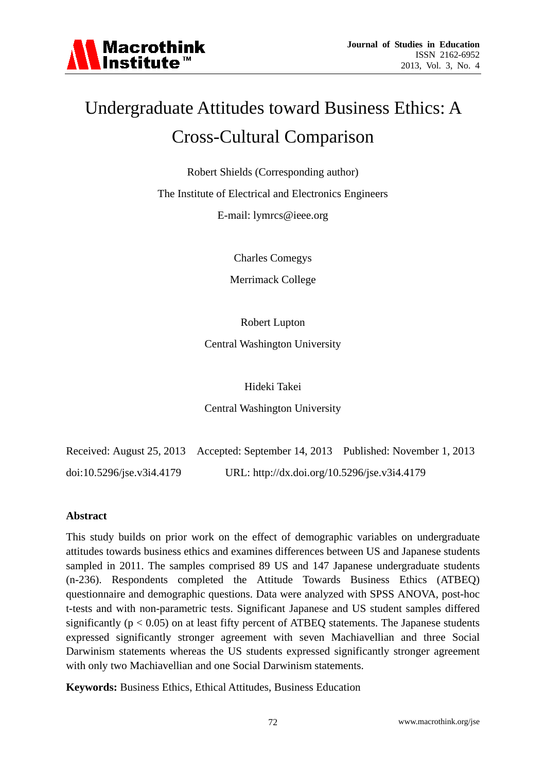

# Undergraduate Attitudes toward Business Ethics: A Cross-Cultural Comparison

Robert Shields (Corresponding author)

The Institute of Electrical and Electronics Engineers

E-mail: lymrcs@ieee.org

Charles Comegys

Merrimack College

Robert Lupton

Central Washington University

Hideki Takei

Central Washington University

Received: August 25, 2013 Accepted: September 14, 2013 Published: November 1, 2013 doi:10.5296/jse.v3i4.4179 URL: http://dx.doi.org/10.5296/jse.v3i4.4179

#### **Abstract**

This study builds on prior work on the effect of demographic variables on undergraduate attitudes towards business ethics and examines differences between US and Japanese students sampled in 2011. The samples comprised 89 US and 147 Japanese undergraduate students (n-236). Respondents completed the Attitude Towards Business Ethics (ATBEQ) questionnaire and demographic questions. Data were analyzed with SPSS ANOVA, post-hoc t-tests and with non-parametric tests. Significant Japanese and US student samples differed significantly ( $p < 0.05$ ) on at least fifty percent of ATBEQ statements. The Japanese students expressed significantly stronger agreement with seven Machiavellian and three Social Darwinism statements whereas the US students expressed significantly stronger agreement with only two Machiavellian and one Social Darwinism statements.

**Keywords:** Business Ethics, Ethical Attitudes, Business Education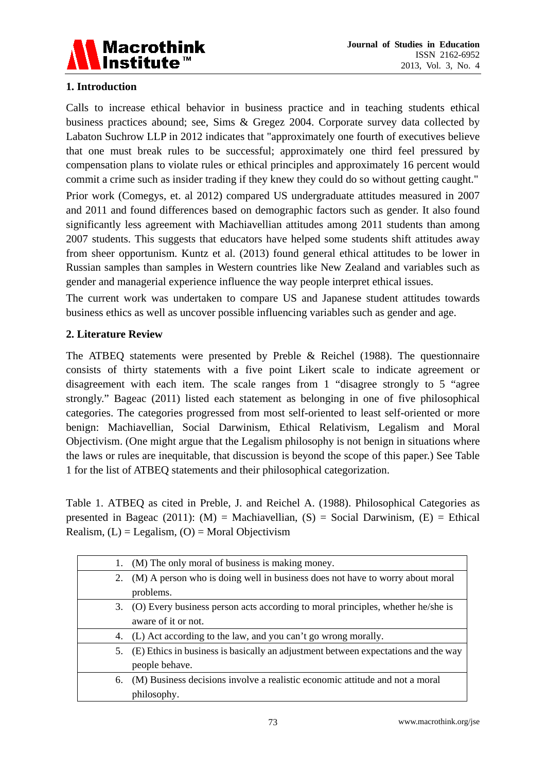

# **1. Introduction**

Calls to increase ethical behavior in business practice and in teaching students ethical business practices abound; see, Sims & Gregez 2004. Corporate survey data collected by Labaton Suchrow LLP in 2012 indicates that "approximately one fourth of executives believe that one must break rules to be successful; approximately one third feel pressured by compensation plans to violate rules or ethical principles and approximately 16 percent would commit a crime such as insider trading if they knew they could do so without getting caught."

Prior work (Comegys, et. al 2012) compared US undergraduate attitudes measured in 2007 and 2011 and found differences based on demographic factors such as gender. It also found significantly less agreement with Machiavellian attitudes among 2011 students than among 2007 students. This suggests that educators have helped some students shift attitudes away from sheer opportunism. Kuntz et al. (2013) found general ethical attitudes to be lower in Russian samples than samples in Western countries like New Zealand and variables such as gender and managerial experience influence the way people interpret ethical issues.

The current work was undertaken to compare US and Japanese student attitudes towards business ethics as well as uncover possible influencing variables such as gender and age.

# **2. Literature Review**

The ATBEQ statements were presented by Preble & Reichel (1988). The questionnaire consists of thirty statements with a five point Likert scale to indicate agreement or disagreement with each item. The scale ranges from 1 "disagree strongly to 5 "agree strongly." Bageac (2011) listed each statement as belonging in one of five philosophical categories. The categories progressed from most self-oriented to least self-oriented or more benign: Machiavellian, Social Darwinism, Ethical Relativism, Legalism and Moral Objectivism. (One might argue that the Legalism philosophy is not benign in situations where the laws or rules are inequitable, that discussion is beyond the scope of this paper.) See Table 1 for the list of ATBEQ statements and their philosophical categorization.

Table 1. ATBEQ as cited in Preble, J. and Reichel A. (1988). Philosophical Categories as presented in Bageac (2011): (M) = Machiavellian, (S) = Social Darwinism, (E) = Ethical Realism,  $(L) =$  Legalism,  $(O)$  = Moral Objectivism

|    | (M) The only moral of business is making money.                                    |
|----|------------------------------------------------------------------------------------|
| 2. | (M) A person who is doing well in business does not have to worry about moral      |
|    | problems.                                                                          |
| 3. | (O) Every business person acts according to moral principles, whether he/she is    |
|    | aware of it or not.                                                                |
| 4. | (L) Act according to the law, and you can't go wrong morally.                      |
| 5. | (E) Ethics in business is basically an adjustment between expectations and the way |
|    | people behave.                                                                     |
| 6. | (M) Business decisions involve a realistic economic attitude and not a moral       |
|    | philosophy.                                                                        |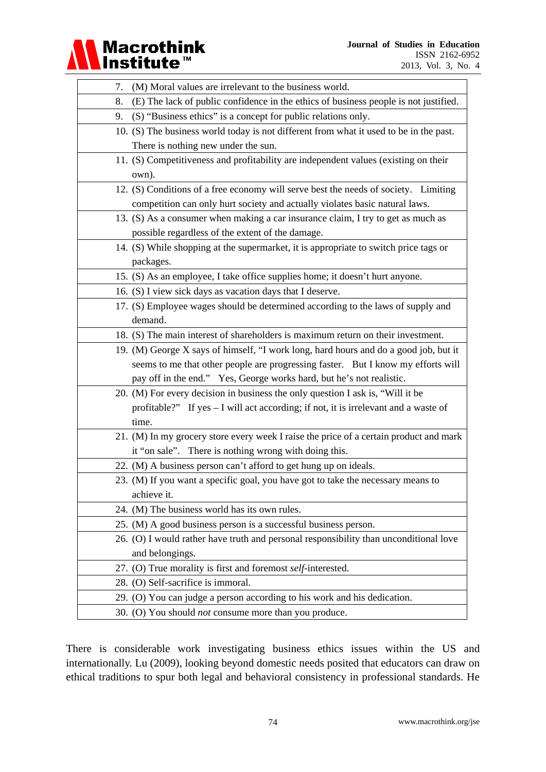#### **Journal of Studies in Education**  ISSN 2162-6952 2013, Vol. 3, No. 4

| 7. | (M) Moral values are irrelevant to the business world.                                 |
|----|----------------------------------------------------------------------------------------|
| 8. | (E) The lack of public confidence in the ethics of business people is not justified.   |
| 9. | (S) "Business ethics" is a concept for public relations only.                          |
|    | 10. (S) The business world today is not different from what it used to be in the past. |
|    | There is nothing new under the sun.                                                    |
|    | 11. (S) Competitiveness and profitability are independent values (existing on their    |
|    | own).                                                                                  |
|    | 12. (S) Conditions of a free economy will serve best the needs of society. Limiting    |
|    | competition can only hurt society and actually violates basic natural laws.            |
|    | 13. (S) As a consumer when making a car insurance claim, I try to get as much as       |
|    | possible regardless of the extent of the damage.                                       |
|    | 14. (S) While shopping at the supermarket, it is appropriate to switch price tags or   |
|    | packages.                                                                              |
|    | 15. (S) As an employee, I take office supplies home; it doesn't hurt anyone.           |
|    | 16. (S) I view sick days as vacation days that I deserve.                              |
|    | 17. (S) Employee wages should be determined according to the laws of supply and        |
|    | demand.                                                                                |
|    | 18. (S) The main interest of shareholders is maximum return on their investment.       |
|    | 19. (M) George X says of himself, "I work long, hard hours and do a good job, but it   |
|    | seems to me that other people are progressing faster. But I know my efforts will       |
|    | pay off in the end." Yes, George works hard, but he's not realistic.                   |
|    | 20. (M) For every decision in business the only question I ask is, "Will it be         |
|    | profitable?" If yes - I will act according; if not, it is irrelevant and a waste of    |
|    | time.                                                                                  |
|    | 21. (M) In my grocery store every week I raise the price of a certain product and mark |
|    | it "on sale". There is nothing wrong with doing this.                                  |
|    | 22. (M) A business person can't afford to get hung up on ideals.                       |
|    | 23. (M) If you want a specific goal, you have got to take the necessary means to       |
|    | achieve it.                                                                            |
|    | 24. (M) The business world has its own rules.                                          |
|    | 25. (M) A good business person is a successful business person.                        |
|    | 26. (O) I would rather have truth and personal responsibility than unconditional love  |
|    | and belongings.                                                                        |
|    | 27. (O) True morality is first and foremost self-interested.                           |
|    | 28. (O) Self-sacrifice is immoral.                                                     |
|    | 29. (O) You can judge a person according to his work and his dedication.               |
|    | 30. (O) You should <i>not</i> consume more than you produce.                           |

Macrothink<br>Institute™

There is considerable work investigating business ethics issues within the US and internationally. Lu (2009), looking beyond domestic needs posited that educators can draw on ethical traditions to spur both legal and behavioral consistency in professional standards. He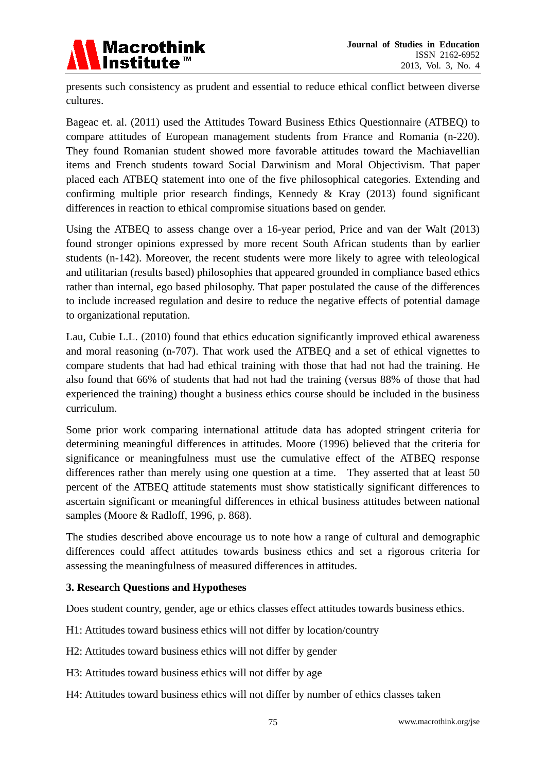

presents such consistency as prudent and essential to reduce ethical conflict between diverse cultures.

Bageac et. al. (2011) used the Attitudes Toward Business Ethics Questionnaire (ATBEQ) to compare attitudes of European management students from France and Romania (n-220). They found Romanian student showed more favorable attitudes toward the Machiavellian items and French students toward Social Darwinism and Moral Objectivism. That paper placed each ATBEQ statement into one of the five philosophical categories. Extending and confirming multiple prior research findings, Kennedy & Kray (2013) found significant differences in reaction to ethical compromise situations based on gender.

Using the ATBEQ to assess change over a 16-year period, Price and van der Walt (2013) found stronger opinions expressed by more recent South African students than by earlier students (n-142). Moreover, the recent students were more likely to agree with teleological and utilitarian (results based) philosophies that appeared grounded in compliance based ethics rather than internal, ego based philosophy. That paper postulated the cause of the differences to include increased regulation and desire to reduce the negative effects of potential damage to organizational reputation.

Lau, Cubie L.L. (2010) found that ethics education significantly improved ethical awareness and moral reasoning (n-707). That work used the ATBEQ and a set of ethical vignettes to compare students that had had ethical training with those that had not had the training. He also found that 66% of students that had not had the training (versus 88% of those that had experienced the training) thought a business ethics course should be included in the business curriculum.

Some prior work comparing international attitude data has adopted stringent criteria for determining meaningful differences in attitudes. Moore (1996) believed that the criteria for significance or meaningfulness must use the cumulative effect of the ATBEQ response differences rather than merely using one question at a time. They asserted that at least 50 percent of the ATBEQ attitude statements must show statistically significant differences to ascertain significant or meaningful differences in ethical business attitudes between national samples (Moore & Radloff, 1996, p. 868).

The studies described above encourage us to note how a range of cultural and demographic differences could affect attitudes towards business ethics and set a rigorous criteria for assessing the meaningfulness of measured differences in attitudes.

# **3. Research Questions and Hypotheses**

Does student country, gender, age or ethics classes effect attitudes towards business ethics.

H1: Attitudes toward business ethics will not differ by location/country

H2: Attitudes toward business ethics will not differ by gender

H3: Attitudes toward business ethics will not differ by age

H4: Attitudes toward business ethics will not differ by number of ethics classes taken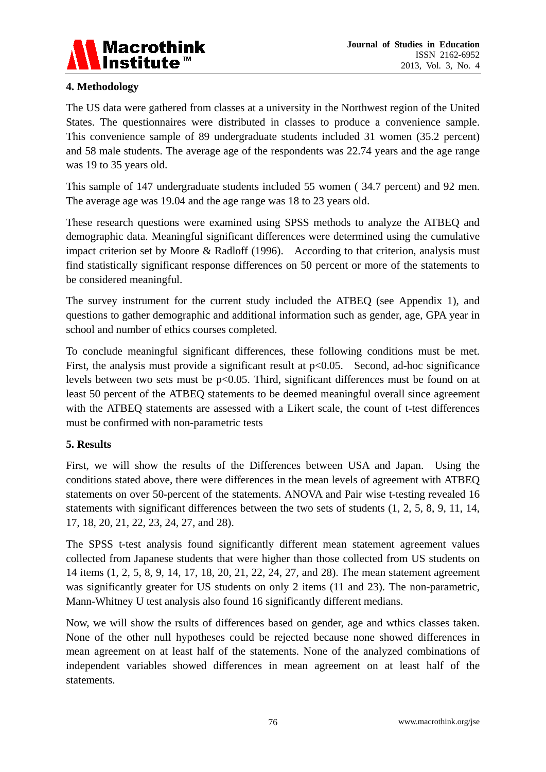

# **4. Methodology**

The US data were gathered from classes at a university in the Northwest region of the United States. The questionnaires were distributed in classes to produce a convenience sample. This convenience sample of 89 undergraduate students included 31 women (35.2 percent) and 58 male students. The average age of the respondents was 22.74 years and the age range was 19 to 35 years old.

This sample of 147 undergraduate students included 55 women ( 34.7 percent) and 92 men. The average age was 19.04 and the age range was 18 to 23 years old.

These research questions were examined using SPSS methods to analyze the ATBEQ and demographic data. Meaningful significant differences were determined using the cumulative impact criterion set by Moore & Radloff (1996). According to that criterion, analysis must find statistically significant response differences on 50 percent or more of the statements to be considered meaningful.

The survey instrument for the current study included the ATBEQ (see Appendix 1), and questions to gather demographic and additional information such as gender, age, GPA year in school and number of ethics courses completed.

To conclude meaningful significant differences, these following conditions must be met. First, the analysis must provide a significant result at  $p<0.05$ . Second, ad-hoc significance levels between two sets must be p<0.05. Third, significant differences must be found on at least 50 percent of the ATBEQ statements to be deemed meaningful overall since agreement with the ATBEQ statements are assessed with a Likert scale, the count of t-test differences must be confirmed with non-parametric tests

# **5. Results**

First, we will show the results of the Differences between USA and Japan. Using the conditions stated above, there were differences in the mean levels of agreement with ATBEQ statements on over 50-percent of the statements. ANOVA and Pair wise t-testing revealed 16 statements with significant differences between the two sets of students (1, 2, 5, 8, 9, 11, 14, 17, 18, 20, 21, 22, 23, 24, 27, and 28).

The SPSS t-test analysis found significantly different mean statement agreement values collected from Japanese students that were higher than those collected from US students on 14 items (1, 2, 5, 8, 9, 14, 17, 18, 20, 21, 22, 24, 27, and 28). The mean statement agreement was significantly greater for US students on only 2 items (11 and 23). The non-parametric, Mann-Whitney U test analysis also found 16 significantly different medians.

Now, we will show the rsults of differences based on gender, age and wthics classes taken. None of the other null hypotheses could be rejected because none showed differences in mean agreement on at least half of the statements. None of the analyzed combinations of independent variables showed differences in mean agreement on at least half of the statements.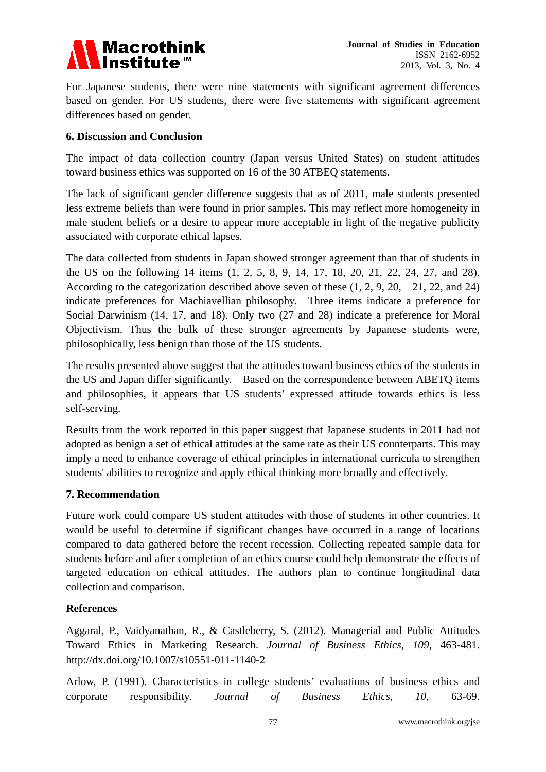

For Japanese students, there were nine statements with significant agreement differences based on gender. For US students, there were five statements with significant agreement differences based on gender.

### **6. Discussion and Conclusion**

The impact of data collection country (Japan versus United States) on student attitudes toward business ethics was supported on 16 of the 30 ATBEQ statements.

The lack of significant gender difference suggests that as of 2011, male students presented less extreme beliefs than were found in prior samples. This may reflect more homogeneity in male student beliefs or a desire to appear more acceptable in light of the negative publicity associated with corporate ethical lapses.

The data collected from students in Japan showed stronger agreement than that of students in the US on the following 14 items (1, 2, 5, 8, 9, 14, 17, 18, 20, 21, 22, 24, 27, and 28). According to the categorization described above seven of these (1, 2, 9, 20, 21, 22, and 24) indicate preferences for Machiavellian philosophy. Three items indicate a preference for Social Darwinism (14, 17, and 18). Only two (27 and 28) indicate a preference for Moral Objectivism. Thus the bulk of these stronger agreements by Japanese students were, philosophically, less benign than those of the US students.

The results presented above suggest that the attitudes toward business ethics of the students in the US and Japan differ significantly. Based on the correspondence between ABETQ items and philosophies, it appears that US students' expressed attitude towards ethics is less self-serving.

Results from the work reported in this paper suggest that Japanese students in 2011 had not adopted as benign a set of ethical attitudes at the same rate as their US counterparts. This may imply a need to enhance coverage of ethical principles in international curricula to strengthen students' abilities to recognize and apply ethical thinking more broadly and effectively.

#### **7. Recommendation**

Future work could compare US student attitudes with those of students in other countries. It would be useful to determine if significant changes have occurred in a range of locations compared to data gathered before the recent recession. Collecting repeated sample data for students before and after completion of an ethics course could help demonstrate the effects of targeted education on ethical attitudes. The authors plan to continue longitudinal data collection and comparison.

#### **References**

Aggaral, P., Vaidyanathan, R., & Castleberry, S. (2012). Managerial and Public Attitudes Toward Ethics in Marketing Research. *Journal of Business Ethics*, *109*, 463-481. http://dx.doi.org/10.1007/s10551-011-1140-2

Arlow, P. (1991). Characteristics in college students' evaluations of business ethics and corporate responsibility. *Journal of Business Ethics*, *10*, 63-69.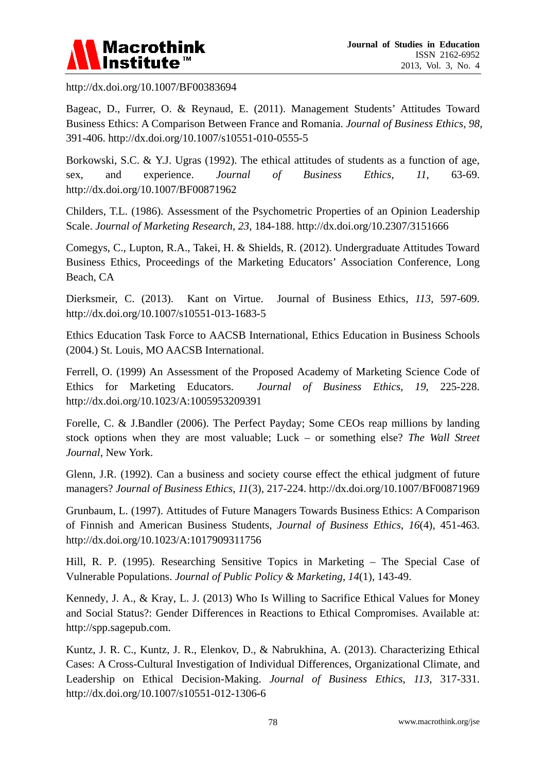

http://dx.doi.org/10.1007/BF00383694

Bageac, D., Furrer, O. & Reynaud, E. (2011). Management Students' Attitudes Toward Business Ethics: A Comparison Between France and Romania. *Journal of Business Ethics, 98*, 391-406. http://dx.doi.org/10.1007/s10551-010-0555-5

Borkowski, S.C. & Y.J. Ugras (1992). The ethical attitudes of students as a function of age, sex, and experience. *Journal of Business Ethics*, *11,* 63-69. http://dx.doi.org/10.1007/BF00871962

Childers, T.L. (1986). Assessment of the Psychometric Properties of an Opinion Leadership Scale. *Journal of Marketing Research*, *23*, 184-188. http://dx.doi.org/10.2307/3151666

Comegys, C., Lupton, R.A., Takei, H. & Shields, R. (2012). Undergraduate Attitudes Toward Business Ethics, Proceedings of the Marketing Educators' Association Conference, Long Beach, CA

Dierksmeir, C. (2013). Kant on Virtue. Journal of Business Ethics, *113*, 597-609. http://dx.doi.org/10.1007/s10551-013-1683-5

Ethics Education Task Force to AACSB International, Ethics Education in Business Schools (2004.) St. Louis, MO AACSB International.

Ferrell, O. (1999) An Assessment of the Proposed Academy of Marketing Science Code of Ethics for Marketing Educators. *Journal of Business Ethics*, *19*, 225-228. http://dx.doi.org/10.1023/A:1005953209391

Forelle, C. & J.Bandler (2006). The Perfect Payday; Some CEOs reap millions by landing stock options when they are most valuable; Luck – or something else? *The Wall Street Journal*, New York.

Glenn, J.R. (1992). Can a business and society course effect the ethical judgment of future managers? *Journal of Business Ethics*, *11*(3), 217-224. http://dx.doi.org/10.1007/BF00871969

Grunbaum, L. (1997). Attitudes of Future Managers Towards Business Ethics: A Comparison of Finnish and American Business Students, *Journal of Business Ethics*, *16*(4), 451-463. http://dx.doi.org/10.1023/A:1017909311756

Hill, R. P. (1995). Researching Sensitive Topics in Marketing – The Special Case of Vulnerable Populations. *Journal of Public Policy & Marketing*, *14*(1), 143-49.

Kennedy, J. A., & Kray, L. J. (2013) Who Is Willing to Sacrifice Ethical Values for Money and Social Status?: Gender Differences in Reactions to Ethical Compromises. Available at: http://spp.sagepub.com.

Kuntz, J. R. C., Kuntz, J. R., Elenkov, D., & Nabrukhina, A. (2013). Characterizing Ethical Cases: A Cross-Cultural Investigation of Individual Differences, Organizational Climate, and Leadership on Ethical Decision-Making. *Journal of Business Ethics*, *113*, 317-331. http://dx.doi.org/10.1007/s10551-012-1306-6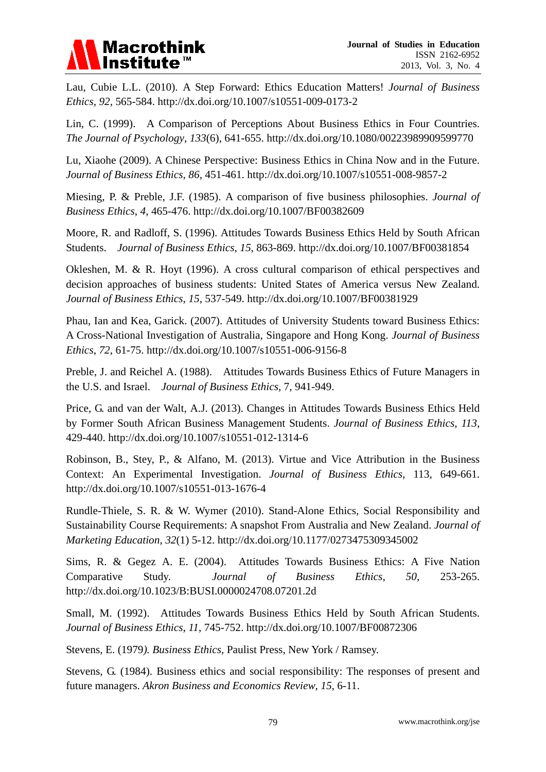

Lau, Cubie L.L. (2010). A Step Forward: Ethics Education Matters! *Journal of Business Ethics*, *92,* 565-584. http://dx.doi.org/10.1007/s10551-009-0173-2

Lin, C. (1999). A Comparison of Perceptions About Business Ethics in Four Countries. *The Journal of Psychology*, *133*(6), 641-655. http://dx.doi.org/10.1080/00223989909599770

Lu, Xiaohe (2009). A Chinese Perspective: Business Ethics in China Now and in the Future. *Journal of Business Ethics*, *86,* 451-461. http://dx.doi.org/10.1007/s10551-008-9857-2

Miesing, P. & Preble, J.F. (1985). A comparison of five business philosophies. *Journal of Business Ethics*, *4*, 465-476. http://dx.doi.org/10.1007/BF00382609

Moore, R. and Radloff, S. (1996). Attitudes Towards Business Ethics Held by South African Students. *Journal of Business Ethics*, *15*, 863-869. http://dx.doi.org/10.1007/BF00381854

Okleshen, M. & R. Hoyt (1996). A cross cultural comparison of ethical perspectives and decision approaches of business students: United States of America versus New Zealand. *Journal of Business Ethics*, *15*, 537-549. http://dx.doi.org/10.1007/BF00381929

Phau, Ian and Kea, Garick. (2007). Attitudes of University Students toward Business Ethics: A Cross-National Investigation of Australia, Singapore and Hong Kong. *Journal of Business Ethics*, *72*, 61-75. http://dx.doi.org/10.1007/s10551-006-9156-8

Preble, J. and Reichel A. (1988). Attitudes Towards Business Ethics of Future Managers in the U.S. and Israel. *Journal of Business Ethics*, 7, 941-949.

Price, G. and van der Walt, A.J. (2013). Changes in Attitudes Towards Business Ethics Held by Former South African Business Management Students. *Journal of Business Ethics*, *113*, 429-440. http://dx.doi.org/10.1007/s10551-012-1314-6

Robinson, B., Stey, P., & Alfano, M. (2013). Virtue and Vice Attribution in the Business Context: An Experimental Investigation. *Journal of Business Ethics*, 113, 649-661. http://dx.doi.org/10.1007/s10551-013-1676-4

Rundle-Thiele, S. R. & W. Wymer (2010). Stand-Alone Ethics, Social Responsibility and Sustainability Course Requirements: A snapshot From Australia and New Zealand. *Journal of Marketing Education*, *32*(1) 5-12. http://dx.doi.org/10.1177/0273475309345002

Sims, R. & Gegez A. E. (2004). Attitudes Towards Business Ethics: A Five Nation Comparative Study. *Journal of Business Ethics*, *50*, 253-265. http://dx.doi.org/10.1023/B:BUSI.0000024708.07201.2d

Small, M. (1992). Attitudes Towards Business Ethics Held by South African Students. *Journal of Business Ethics*, *11*, 745-752. http://dx.doi.org/10.1007/BF00872306

Stevens, E. (1979*). Business Ethics*, Paulist Press, New York / Ramsey.

Stevens, G. (1984). Business ethics and social responsibility: The responses of present and future managers. *Akron Business and Economics Review*, *15*, 6-11.